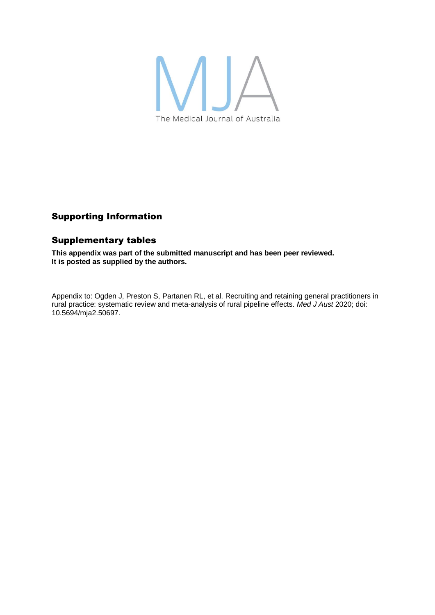

## Supporting Information

## Supplementary tables

**This appendix was part of the submitted manuscript and has been peer reviewed. It is posted as supplied by the authors.**

Appendix to: Ogden J, Preston S, Partanen RL, et al. Recruiting and retaining general practitioners in rural practice: systematic review and meta-analysis of rural pipeline effects. *Med J Aust* 2020; doi: 10.5694/mja2.50697.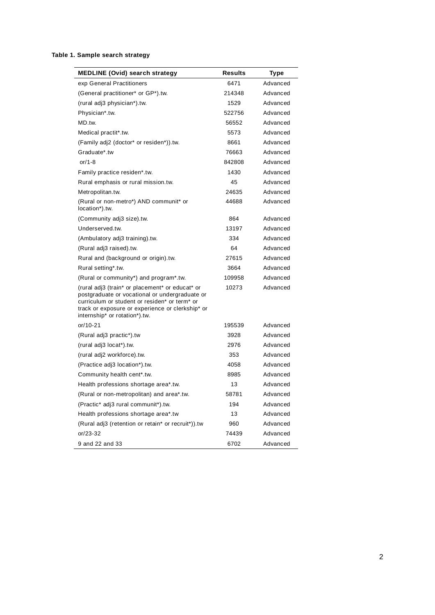## **Table 1. Sample search strategy**

| <b>MEDLINE (Ovid) search strategy</b>                                                                                                                                                                                                   | <b>Results</b> | Type     |
|-----------------------------------------------------------------------------------------------------------------------------------------------------------------------------------------------------------------------------------------|----------------|----------|
| exp General Practitioners                                                                                                                                                                                                               | 6471           | Advanced |
| (General practitioner* or GP*).tw.                                                                                                                                                                                                      | 214348         | Advanced |
| (rural adj3 physician*).tw.                                                                                                                                                                                                             | 1529           | Advanced |
| Physician*.tw.                                                                                                                                                                                                                          | 522756         | Advanced |
| MD.tw.                                                                                                                                                                                                                                  | 56552          | Advanced |
| Medical practit*.tw.                                                                                                                                                                                                                    | 5573           | Advanced |
| (Family adj2 (doctor* or residen*)).tw.                                                                                                                                                                                                 | 8661           | Advanced |
| Graduate*.tw                                                                                                                                                                                                                            | 76663          | Advanced |
| or/1-8                                                                                                                                                                                                                                  | 842808         | Advanced |
| Family practice residen*.tw.                                                                                                                                                                                                            | 1430           | Advanced |
| Rural emphasis or rural mission.tw.                                                                                                                                                                                                     | 45             | Advanced |
| Metropolitan.tw.                                                                                                                                                                                                                        | 24635          | Advanced |
| (Rural or non-metro*) AND communit* or<br>location*).tw.                                                                                                                                                                                | 44688          | Advanced |
| (Community adj3 size).tw.                                                                                                                                                                                                               | 864            | Advanced |
| Underserved.tw.                                                                                                                                                                                                                         | 13197          | Advanced |
| (Ambulatory adj3 training).tw.                                                                                                                                                                                                          | 334            | Advanced |
| (Rural adj3 raised).tw.                                                                                                                                                                                                                 | 64             | Advanced |
| Rural and (background or origin).tw.                                                                                                                                                                                                    | 27615          | Advanced |
| Rural setting*.tw.                                                                                                                                                                                                                      | 3664           | Advanced |
| (Rural or community*) and program*.tw.                                                                                                                                                                                                  | 109958         | Advanced |
| (rural adj3 (train* or placement* or educat* or<br>postgraduate or vocational or undergraduate or<br>curriculum or student or residen* or term* or<br>track or exposure or experience or clerkship* or<br>internship* or rotation*).tw. | 10273          | Advanced |
| or/10-21                                                                                                                                                                                                                                | 195539         | Advanced |
| (Rural adj3 practic*).tw                                                                                                                                                                                                                | 3928           | Advanced |
| (rural adj3 locat*).tw.                                                                                                                                                                                                                 | 2976           | Advanced |
| (rural adj2 workforce).tw.                                                                                                                                                                                                              | 353            | Advanced |
| (Practice adj3 location*).tw.                                                                                                                                                                                                           | 4058           | Advanced |
| Community health cent*.tw.                                                                                                                                                                                                              | 8985           | Advanced |
| Health professions shortage area*.tw.                                                                                                                                                                                                   | 13             | Advanced |
| (Rural or non-metropolitan) and area*.tw.                                                                                                                                                                                               | 58781          | Advanced |
| (Practic* adj3 rural communit*).tw.                                                                                                                                                                                                     | 194            | Advanced |
| Health professions shortage area*.tw                                                                                                                                                                                                    | 13             | Advanced |
| (Rural adj3 (retention or retain* or recruit*)).tw                                                                                                                                                                                      | 960            | Advanced |
| or/23-32                                                                                                                                                                                                                                | 74439          | Advanced |
| 9 and 22 and 33                                                                                                                                                                                                                         | 6702           | Advanced |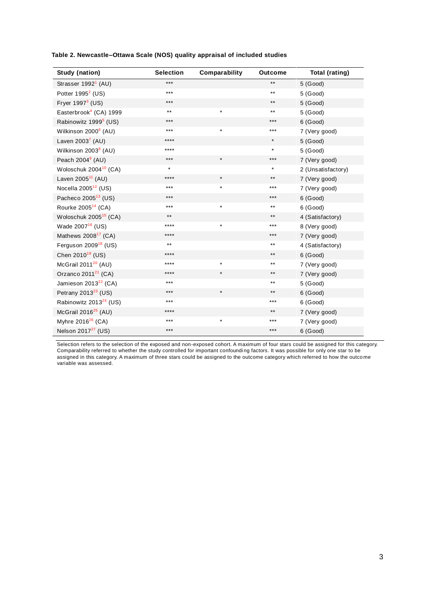|  |  | Table 2. Newcastle–Ottawa Scale (NOS) quality appraisal of included studies |
|--|--|-----------------------------------------------------------------------------|
|  |  |                                                                             |

| Study (nation)                     | <b>Selection</b> | Comparability | <b>Outcome</b> | Total (rating)     |
|------------------------------------|------------------|---------------|----------------|--------------------|
| Strasser 1992 <sup>1</sup> (AU)    | ***              |               | $***$          | $5$ (Good)         |
| Potter 1995 <sup>2</sup> (US)      | $***$            |               | $***$          | $5$ (Good)         |
| Fryer $19973$ (US)                 | $***$            |               | $***$          | 5(Good)            |
| Easterbrook <sup>4</sup> (CA) 1999 | $***$            | $\star$       | $***$          | $5$ (Good)         |
| Rabinowitz 1999 <sup>5</sup> (US)  | $***$            |               | ***            | $6$ (Good)         |
| Wilkinson 2000 <sup>6</sup> (AU)   | $***$            | $\star$       | ***            | 7 (Very good)      |
| Laven $2003^7$ (AU)                | ****             |               | $\star$        | $5$ (Good)         |
| Wilkinson 2003 <sup>8</sup> (AU)   | ****             |               | $\star$        | 5 (Good)           |
| Peach $20049$ (AU)                 | $***$            | $\star$       | ***            | 7 (Very good)      |
| Woloschuk 2004 <sup>10</sup> (CA)  | $\star$          |               | $\star$        | 2 (Unsatisfactory) |
| Laven 2005 <sup>11</sup> (AU)      | ****             | $\star$       | $***$          | 7 (Very good)      |
| Nocella $2005^{12}$ (US)           | $***$            | $\star$       | ***            | 7 (Very good)      |
| Pacheco 2005 <sup>13</sup> (US)    | $***$            |               | ***            | $6$ (Good)         |
| Rourke 2005 <sup>14</sup> (CA)     | $***$            | $\star$       | $***$          | $6$ (Good)         |
| Woloschuk 2005 <sup>15</sup> (CA)  | $***$            |               | $***$          | 4 (Satisfactory)   |
| Wade 2007 <sup>16</sup> (US)       | $***$            | $\star$       | ***            | 8 (Very good)      |
| Mathews 2008 <sup>17</sup> (CA)    | ****             |               | ***            | 7 (Very good)      |
| Ferguson $2009^{18}$ (US)          | $***$            |               | $***$          | 4 (Satisfactory)   |
| Chen 2010 <sup>19</sup> (US)       | ****             |               | $***$          | $6$ (Good)         |
| McGrail $2011^{20}$ (AU)           | $***$            | $\star$       | $***$          | 7 (Very good)      |
| Orzanco 2011 <sup>21</sup> (CA)    | ****             | $\star$       | $***$          | 7 (Very good)      |
| Jamieson $2013^{22}$ (CA)          | $***$            |               | $***$          | $5$ (Good)         |
| Petrany 2013 $23$ (US)             | $***$            | $\star$       | $***$          | $6$ (Good)         |
| Rabinowitz 2013 <sup>24</sup> (US) | $***$            |               | ***            | $6$ (Good)         |
| McGrail $2016^{25}$ (AU)           | ****             |               | $***$          | 7 (Very good)      |
| Myhre 2016 <sup>26</sup> (CA)      | $***$            | $\star$       | ***            | 7 (Very good)      |
| Nelson 2017 <sup>27</sup> (US)     | $***$            |               | ***            | $6$ (Good)         |

Selection refers to the selection of the exposed and non-exposed cohort. A maximum of four stars could be assigned for this category. Comparability referred to whether the study controlled for important confoundi ng factors. It was possible for only one star to be assigned in this category. A maximum of three stars could be assigned to the outcome category which referred to how the outco me variable was assessed.